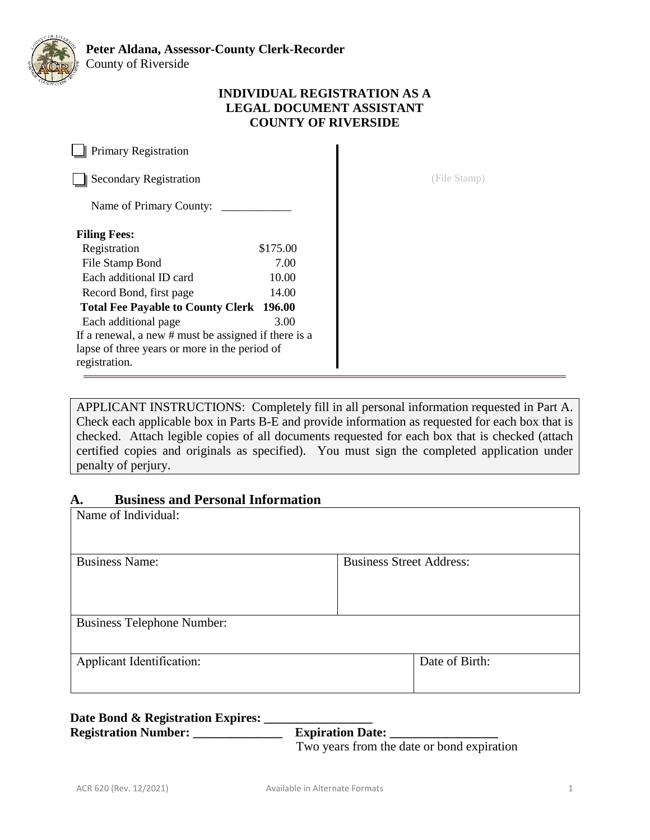

## **INDIVIDUAL REGISTRATION AS A LEGAL DOCUMENT ASSISTANT COUNTY OF RIVERSIDE**

**Primary Registration** Secondary Registration **Secondary Registration Secondary Registration** (File Stamp) Name of Primary County: \_ **Filing Fees:** Registration \$175.00 File Stamp Bond 7.00 Each additional ID card 10.00 Record Bond, first page 14.00 **Total Fee Payable to County Clerk 196.00**  Each additional page 3.00 If a renewal, a new # must be assigned if there is a lapse of three years or more in the period of registration.

APPLICANT INSTRUCTIONS: Completely fill in all personal information requested in Part A. Check each applicable box in Parts B-E and provide information as requested for each box that is checked. Attach legible copies of all documents requested for each box that is checked (attach certified copies and originals as specified). You must sign the completed application under penalty of perjury.

# **A. Business and Personal Information**

| Name of Individual:               |                                 |
|-----------------------------------|---------------------------------|
| <b>Business Name:</b>             | <b>Business Street Address:</b> |
| <b>Business Telephone Number:</b> |                                 |
| Applicant Identification:         | Date of Birth:                  |

# Date Bond & Registration Expires: Registration Number: \_\_\_\_\_\_\_\_\_\_\_\_\_\_\_\_\_ Expiration Date: \_\_\_\_

Two years from the date or bond expiration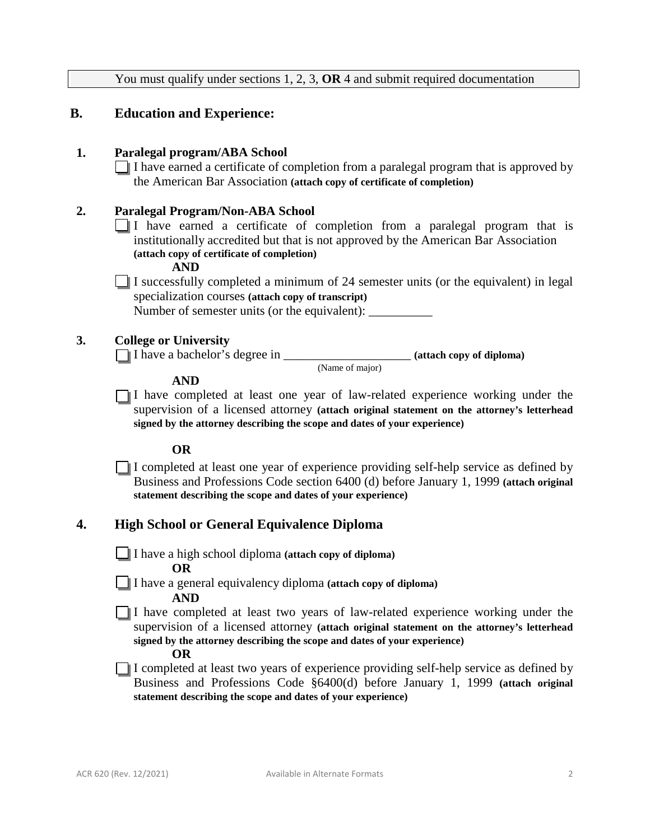You must qualify under sections 1, 2, 3, **OR** 4 and submit required documentation **B. Education and Experience: 1. Paralegal program/ABA School** I have earned a certificate of completion from a paralegal program that is approved by the American Bar Association **(attach copy of certificate of completion) 2. Paralegal Program/Non-ABA School** I have earned a certificate of completion from a paralegal program that is institutionally accredited but that is not approved by the American Bar Association **(attach copy of certificate of completion) AND** I successfully completed a minimum of 24 semester units (or the equivalent) in legal specialization courses **(attach copy of transcript)** Number of semester units (or the equivalent): **3. College or University** I have a bachelor's degree in \_\_\_\_\_\_\_\_\_\_\_\_\_\_\_\_\_\_\_\_ **(attach copy of diploma)** (Name of major) **AND** I have completed at least one year of law-related experience working under the supervision of a licensed attorney **(attach original statement on the attorney's letterhead signed by the attorney describing the scope and dates of your experience) OR** I completed at least one year of experience providing self-help service as defined by Business and Professions Code section 6400 (d) before January 1, 1999 **(attach original statement describing the scope and dates of your experience) 4. High School or General Equivalence Diploma** I have a high school diploma **(attach copy of diploma) OR** I have a general equivalency diploma **(attach copy of diploma) AND** I have completed at least two years of law-related experience working under the supervision of a licensed attorney **(attach original statement on the attorney's letterhead signed by the attorney describing the scope and dates of your experience) OR** I completed at least two years of experience providing self-help service as defined by

Business and Professions Code §6400(d) before January 1, 1999 **(attach original statement describing the scope and dates of your experience)**